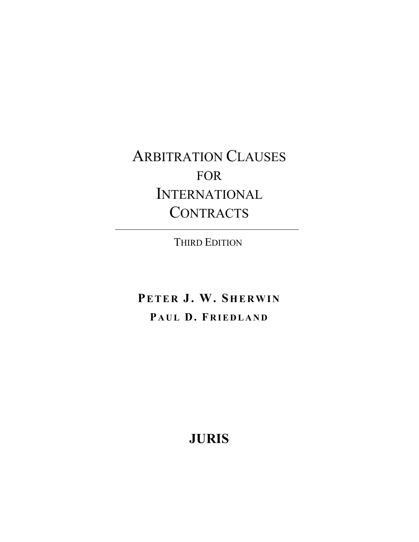ARBITRATION CLAUSES FOR INTERNATIONAL **CONTRACTS** 

THIRD EDITION

**PETER J. W. SHERWIN** PAUL D. FRIEDLAND

**JURIS**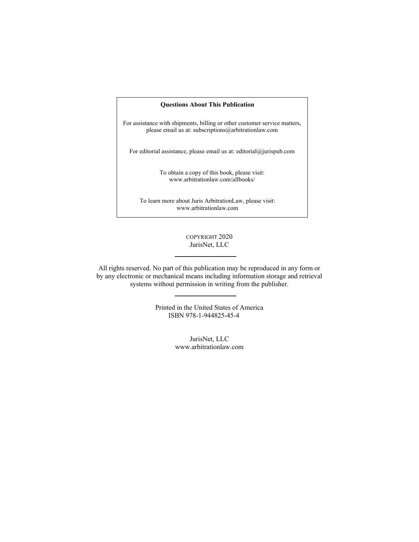## **Questions About This Publication**

For assistance with shipments, billing or other customer service matters, please email us at: subscriptions@arbitrationlaw.com

For editorial assistance, please email us at: editorial@jurispub.com

To obtain a copy of this book, please visit: www.arbitrationlaw.com/allbooks/

To learn more about Juris ArbitrationLaw, please visit: www.arbitrationlaw.com

## COPYRIGHT 2020 JurisNet, LLC

All rights reserved. No part of this publication may be reproduced in any form or by any electronic or mechanical means including information storage and retrieval systems without permission in writing from the publisher.

> Printed in the United States of America ISBN 978-1-944825-45-4

> > JurisNet, LLC www.arbitrationlaw.com